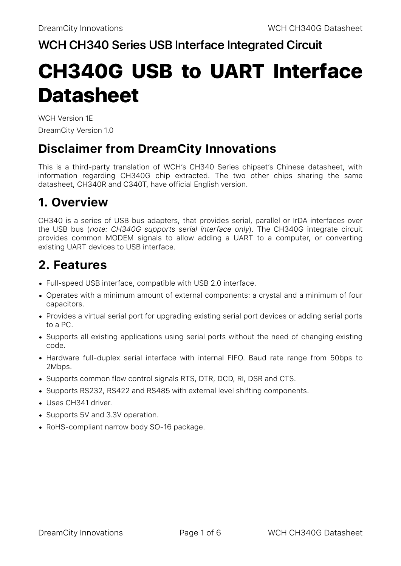### **WCH CH340 Series USB Interface Integrated Circuit**

# CH340G USB to UART Interface **Datasheet**

WCH Version 1E DreamCity Version 1.0

## **Disclaimer from DreamCity Innovations**

This is a third-party translation of WCH's CH340 Series chipset's Chinese datasheet, with information regarding CH340G chip extracted. The two other chips sharing the same datasheet, CH340R and C340T, have official English version.

# **1. Overview**

CH340 is a series of USB bus adapters, that provides serial, parallel or IrDA interfaces over the USB bus (*note: CH340G supports serial interface only*). The CH340G integrate circuit provides common MODEM signals to allow adding a UART to a computer, or converting existing UART devices to USB interface.

# **2. Features**

- Full-speed USB interface, compatible with USB 2.0 interface.
- Operates with a minimum amount of external components: a crystal and a minimum of four capacitors.
- Provides a virtual serial port for upgrading existing serial port devices or adding serial ports to a PC.
- Supports all existing applications using serial ports without the need of changing existing code.
- Hardware full-duplex serial interface with internal FIFO. Baud rate range from 50bps to 2Mbps.
- Supports common flow control signals RTS, DTR, DCD, RI, DSR and CTS.
- Supports RS232, RS422 and RS485 with external level shifting components.
- Uses CH341 driver.
- Supports 5V and 3.3V operation.
- RoHS-compliant narrow body SO-16 package.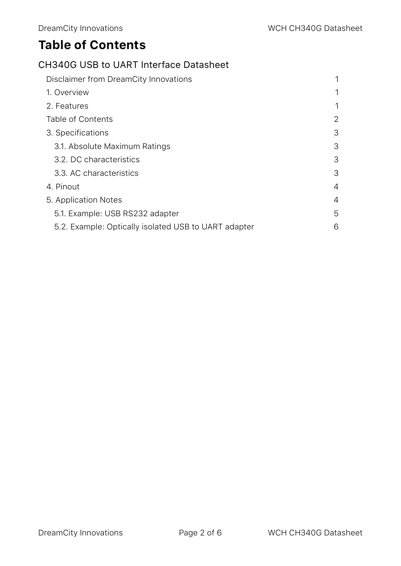# **Table of Contents**

#### CH340G USB to UART Interface Datasheet

| Disclaimer from DreamCity Innovations                |   |
|------------------------------------------------------|---|
| 1. Overview                                          | 1 |
| 2. Features                                          | 1 |
| Table of Contents                                    | 2 |
| 3. Specifications                                    | 3 |
| 3.1. Absolute Maximum Ratings                        | 3 |
| 3.2. DC characteristics                              | 3 |
| 3.3. AC characteristics                              | 3 |
| 4. Pinout                                            | 4 |
| 5. Application Notes                                 | 4 |
| 5.1. Example: USB RS232 adapter                      | 5 |
| 5.2. Example: Optically isolated USB to UART adapter | 6 |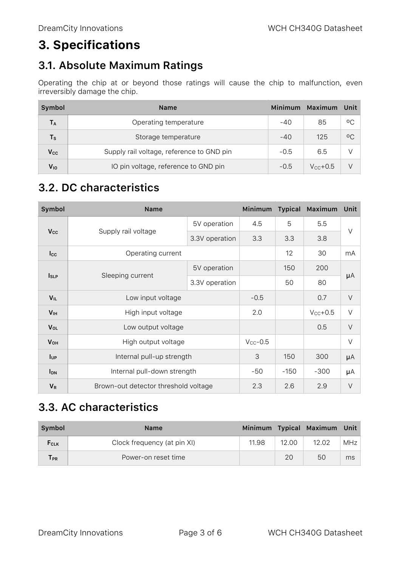# **3. Specifications**

#### **3.1. Absolute Maximum Ratings**

Operating the chip at or beyond those ratings will cause the chip to malfunction, even irreversibly damage the chip.

| Symbol          | <b>Name</b>                               |        | Maximum       | ⊟Unit        |
|-----------------|-------------------------------------------|--------|---------------|--------------|
| <b>TA</b>       | Operating temperature                     |        | 85            | οC           |
| $T_{\rm S}$     | Storage temperature                       | $-40$  | 125           | $^{\circ}$ C |
| $V_{\rm CC}$    | Supply rail voltage, reference to GND pin |        | 6.5           |              |
| V <sub>IO</sub> | IO pin voltage, reference to GND pin      | $-0.5$ | $V_{cc}$ +0.5 | V            |

#### **3.2. DC characteristics**

| Symbol                 | <b>Name</b>                          |                | Minimum       | <b>Typical</b> | Maximum      | Unit    |
|------------------------|--------------------------------------|----------------|---------------|----------------|--------------|---------|
| <b>Vcc</b>             | Supply rail voltage                  | 5V operation   | 4.5           | 5              | 5.5          |         |
|                        |                                      | 3.3V operation | 3.3           | 3.3            | 3.8          | $\vee$  |
| $_{\text{Lcc}}$        | Operating current                    |                |               | 12             | 30           | mA      |
| $I_{SLP}$              | Sleeping current                     | 5V operation   |               | 150            | 200          | $\mu A$ |
|                        |                                      | 3.3V operation |               | 50             | 80           |         |
| $V_{IL}$               | Low input voltage                    |                | $-0.5$        |                | 0.7          | $\vee$  |
| V <sub>IH</sub>        | High input voltage                   |                | 2.0           |                | $V_{CC}+0.5$ | $\vee$  |
| V <sub>OL</sub>        | Low output voltage                   |                |               |                | 0.5          | $\vee$  |
| <b>V</b> <sub>OH</sub> | High output voltage                  |                | $V_{CC}$ -0.5 |                |              | $\vee$  |
| <b>I</b> UP            | Internal pull-up strength            |                | 3             | 150            | 300          | $\mu A$ |
| <b>I</b> <sub>DN</sub> | Internal pull-down strength          |                | $-50$         | $-150$         | $-300$       | $\mu A$ |
| $V_R$                  | Brown-out detector threshold voltage |                | 2.3           | 2.6            | 2.9          | $\vee$  |

#### **3.3. AC characteristics**

| Symbol                          | <b>Name</b>                 |       |       | Minimum Typical Maximum Unit |     |
|---------------------------------|-----------------------------|-------|-------|------------------------------|-----|
| FCLK                            | Clock frequency (at pin XI) | 11.98 | 12.00 | 12.02                        | MHz |
| $\mathsf{\Gamma}_{\mathsf{PR}}$ | Power-on reset time         |       | 20    | 50                           | ms  |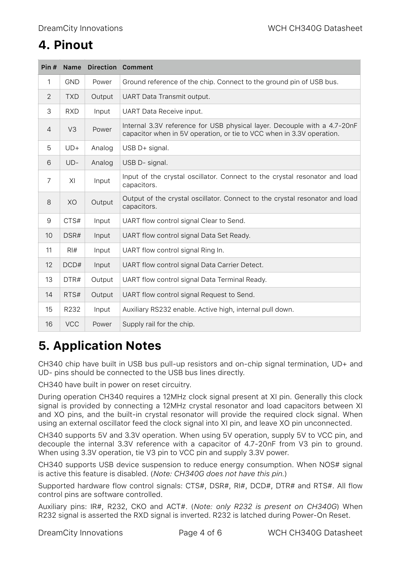# **4. Pinout**

| Pin# | Name             |        | <b>Direction Comment</b>                                                                                                                          |
|------|------------------|--------|---------------------------------------------------------------------------------------------------------------------------------------------------|
| 1    | <b>GND</b>       | Power  | Ground reference of the chip. Connect to the ground pin of USB bus.                                                                               |
| 2    | <b>TXD</b>       | Output | UART Data Transmit output.                                                                                                                        |
| 3    | <b>RXD</b>       | Input  | <b>UART</b> Data Receive input.                                                                                                                   |
| 4    | V <sub>3</sub>   | Power  | Internal 3.3V reference for USB physical layer. Decouple with a 4.7-20nF<br>capacitor when in 5V operation, or tie to VCC when in 3.3V operation. |
| 5    | $UD+$            | Analog | USB D+ signal.                                                                                                                                    |
| 6    | $UD-$            | Analog | USB D- signal.                                                                                                                                    |
| 7    | XI               | Input  | Input of the crystal oscillator. Connect to the crystal resonator and load<br>capacitors.                                                         |
| 8    | XO               | Output | Output of the crystal oscillator. Connect to the crystal resonator and load<br>capacitors.                                                        |
| 9    | CTS#             | Input  | UART flow control signal Clear to Send.                                                                                                           |
| 10   | DSR#             | Input  | UART flow control signal Data Set Ready.                                                                                                          |
| 11   | $R$ <sup>#</sup> | Input  | UART flow control signal Ring In.                                                                                                                 |
| 12   | DCD#             | Input  | UART flow control signal Data Carrier Detect.                                                                                                     |
| 13   | DTR#             | Output | UART flow control signal Data Terminal Ready.                                                                                                     |
| 14   | RTS#             | Output | UART flow control signal Request to Send.                                                                                                         |
| 15   | R232             | Input  | Auxiliary RS232 enable. Active high, internal pull down.                                                                                          |
| 16   | <b>VCC</b>       | Power  | Supply rail for the chip.                                                                                                                         |

# **5. Application Notes**

CH340 chip have built in USB bus pull-up resistors and on-chip signal termination, UD+ and UD- pins should be connected to the USB bus lines directly.

CH340 have built in power on reset circuitry.

During operation CH340 requires a 12MHz clock signal present at XI pin. Generally this clock signal is provided by connecting a 12MHz crystal resonator and load capacitors between XI and XO pins, and the built-in crystal resonator will provide the required clock signal. When using an external oscillator feed the clock signal into XI pin, and leave XO pin unconnected.

CH340 supports 5V and 3.3V operation. When using 5V operation, supply 5V to VCC pin, and decouple the internal 3.3V reference with a capacitor of 4.7-20nF from V3 pin to ground. When using 3.3V operation, tie V3 pin to VCC pin and supply 3.3V power.

CH340 supports USB device suspension to reduce energy consumption. When NOS# signal is active this feature is disabled. (*Note: CH340G does not have this pin.*)

Supported hardware flow control signals: CTS#, DSR#, RI#, DCD#, DTR# and RTS#. All flow control pins are software controlled.

Auxiliary pins: IR#, R232, CKO and ACT#. (*Note: only R232 is present on CH340G*) When R232 signal is asserted the RXD signal is inverted. R232 is latched during Power-On Reset.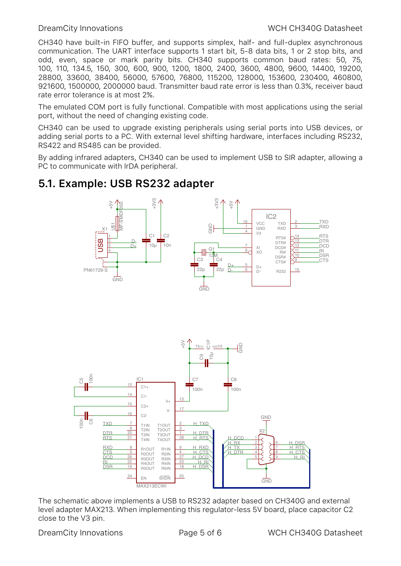CH340 have built-in FIFO buffer, and supports simplex, half- and full-duplex asynchronous communication. The UART interface supports 1 start bit, 5-8 data bits, 1 or 2 stop bits, and odd, even, space or mark parity bits. CH340 supports common baud rates: 50, 75, 100, 110, 134.5, 150, 300, 600, 900, 1200, 1800, 2400, 3600, 4800, 9600, 14400, 19200, 28800, 33600, 38400, 56000, 57600, 76800, 115200, 128000, 153600, 230400, 460800, 921600, 1500000, 2000000 baud. Transmitter baud rate error is less than 0.3%, receiver baud rate error tolerance is at most 2%.

The emulated COM port is fully functional. Compatible with most applications using the serial port, without the need of changing existing code.

CH340 can be used to upgrade existing peripherals using serial ports into USB devices, or adding serial ports to a PC. With external level shifting hardware, interfaces including RS232, RS422 and RS485 can be provided.

By adding infrared adapters, CH340 can be used to implement USB to SIR adapter, allowing a PC to communicate with IrDA peripheral.

#### **5.1. Example: USB RS232 adapter**





The schematic above implements a USB to RS232 adapter based on CH340G and external level adapter MAX213. When implementing this regulator-less 5V board, place capacitor C2 close to the V3 pin.